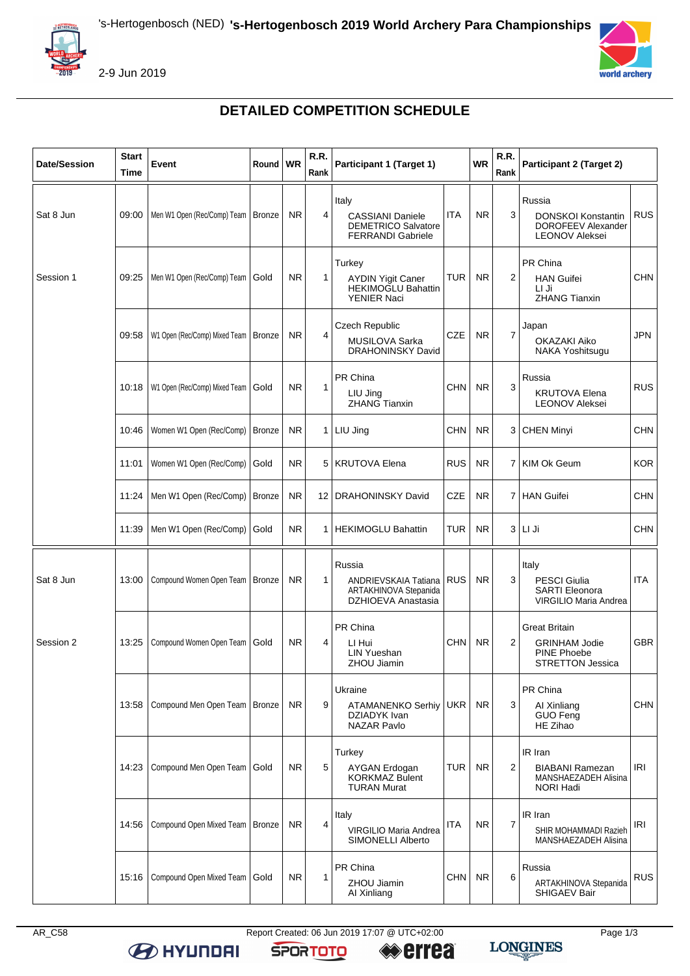

2-9 Jun 2019



## **DETAILED COMPETITION SCHEDULE**

| <b>Date/Session</b> | <b>Start</b><br>Time | Event                           | Round   WR    |           | R.R.<br>Rank | Participant 1 (Target 1)                                                                   |            | <b>WR</b> | R.R.<br>Rank            | Participant 2 (Target 2)                                                               |            |
|---------------------|----------------------|---------------------------------|---------------|-----------|--------------|--------------------------------------------------------------------------------------------|------------|-----------|-------------------------|----------------------------------------------------------------------------------------|------------|
| Sat 8 Jun           | 09:00                | Men W1 Open (Rec/Comp) Team     | <b>Bronze</b> | <b>NR</b> | 4            | Italy<br><b>CASSIANI Daniele</b><br><b>DEMETRICO Salvatore</b><br><b>FERRANDI Gabriele</b> | <b>ITA</b> | <b>NR</b> | 3                       | Russia<br><b>DONSKOI Konstantin</b><br>DOROFEEV Alexander<br><b>LEONOV Aleksei</b>     | <b>RUS</b> |
| Session 1           | 09:25                | Men W1 Open (Rec/Comp) Team     | Gold          | <b>NR</b> | 1            | Turkey<br><b>AYDIN Yigit Caner</b><br><b>HEKIMOGLU Bahattin</b><br><b>YENIER Naci</b>      | <b>TUR</b> | <b>NR</b> | $\overline{2}$          | PR China<br><b>HAN Guifei</b><br>LI Ji<br><b>ZHANG Tianxin</b>                         | <b>CHN</b> |
|                     | 09:58                | W1 Open (Rec/Comp) Mixed Team   | <b>Bronze</b> | <b>NR</b> | 4            | Czech Republic<br>MUSILOVA Sarka<br><b>DRAHONINSKY David</b>                               | <b>CZE</b> | NR.       | $\overline{7}$          | Japan<br><b>OKAZAKI Aiko</b><br>NAKA Yoshitsugu                                        | <b>JPN</b> |
|                     | 10:18                | W1 Open (Rec/Comp) Mixed Team   | Gold          | <b>NR</b> | 1            | PR China<br>LIU Jing<br><b>ZHANG Tianxin</b>                                               | <b>CHN</b> | <b>NR</b> | 3                       | Russia<br><b>KRUTOVA Elena</b><br><b>LEONOV Aleksei</b>                                | <b>RUS</b> |
|                     | 10:46                | Women W1 Open (Rec/Comp)        | <b>Bronze</b> | <b>NR</b> |              | 1 LIU Jing                                                                                 | <b>CHN</b> | <b>NR</b> | 3                       | <b>CHEN Minyi</b>                                                                      | <b>CHN</b> |
|                     | 11:01                | Women W1 Open (Rec/Comp)        | Gold          | <b>NR</b> |              | 5   KRUTOVA Elena                                                                          | <b>RUS</b> | <b>NR</b> | 7                       | <b>KIM Ok Geum</b>                                                                     | <b>KOR</b> |
|                     | 11:24                | Men W1 Open (Rec/Comp)          | <b>Bronze</b> | <b>NR</b> |              | 12   DRAHONINSKY David                                                                     | <b>CZE</b> | NR.       | 7                       | <b>HAN Guifei</b>                                                                      | <b>CHN</b> |
|                     | 11:39                | Men W1 Open (Rec/Comp)          | Gold          | <b>NR</b> | $1 \mid$     | <b>HEKIMOGLU Bahattin</b>                                                                  | <b>TUR</b> | <b>NR</b> | 3                       | LI Ji                                                                                  | <b>CHN</b> |
| Sat 8 Jun           | 13:00                | Compound Women Open Team        | <b>Bronze</b> | <b>NR</b> | 1            | Russia<br>ANDRIEVSKAIA Tatiana<br>ARTAKHINOVA Stepanida<br>DZHIOEVA Anastasia              | <b>RUS</b> | <b>NR</b> | 3                       | Italy<br><b>PESCI Giulia</b><br><b>SARTI Eleonora</b><br><b>VIRGILIO Maria Andrea</b>  | <b>ITA</b> |
| Session 2           | 13:25                | Compound Women Open Team        | Gold          | NR.       | 4            | PR China<br>LI Hui<br>LIN Yueshan<br>ZHOU Jiamin                                           | CHN        | <b>NR</b> | $\overline{\mathbf{c}}$ | <b>Great Britain</b><br><b>GRINHAM Jodie</b><br>PINE Phoebe<br><b>STRETTON Jessica</b> | <b>GBR</b> |
|                     | 13:58                | Compound Men Open Team   Bronze |               | <b>NR</b> | 9            | Ukraine<br><b>ATAMANENKO Serhiv</b><br>DZIADYK Ivan<br><b>NAZAR Pavlo</b>                  | <b>UKR</b> | <b>NR</b> | 3                       | PR China<br>Al Xinliang<br>GUO Feng<br>HE Zihao                                        | <b>CHN</b> |
|                     | 14:23                | Compound Men Open Team          | Gold          | <b>NR</b> | 5            | Turkey<br><b>AYGAN Erdogan</b><br><b>KORKMAZ Bulent</b><br><b>TURAN Murat</b>              | <b>TUR</b> | <b>NR</b> | $\overline{2}$          | IR Iran<br><b>BIABANI Ramezan</b><br>MANSHAEZADEH Alisina<br>NORI Hadi                 | <b>IRI</b> |
|                     | 14:56                | Compound Open Mixed Team        | <b>Bronze</b> | <b>NR</b> | 4            | Italy<br>VIRGILIO Maria Andrea<br>SIMONELLI Alberto                                        | <b>ITA</b> | <b>NR</b> | $\overline{7}$          | IR Iran<br>SHIR MOHAMMADI Razieh<br>MANSHAEZADEH Alisina                               | <b>IRI</b> |
|                     | 15:16                | Compound Open Mixed Team        | Gold          | <b>NR</b> | 1            | PR China<br>ZHOU Jiamin<br>Al Xinliang                                                     | CHN        | NR.       | 6                       | Russia<br><b>ARTAKHINOVA Stepanida</b><br>SHIGAEV Bair                                 | <b>RUS</b> |

**B** HYUNDAI

AR\_C58 Report Created: 06 Jun 2019 17:07 @ UTC+02:00 Page 1/3 **errea** 

**SPORTOTO** 

LONGINES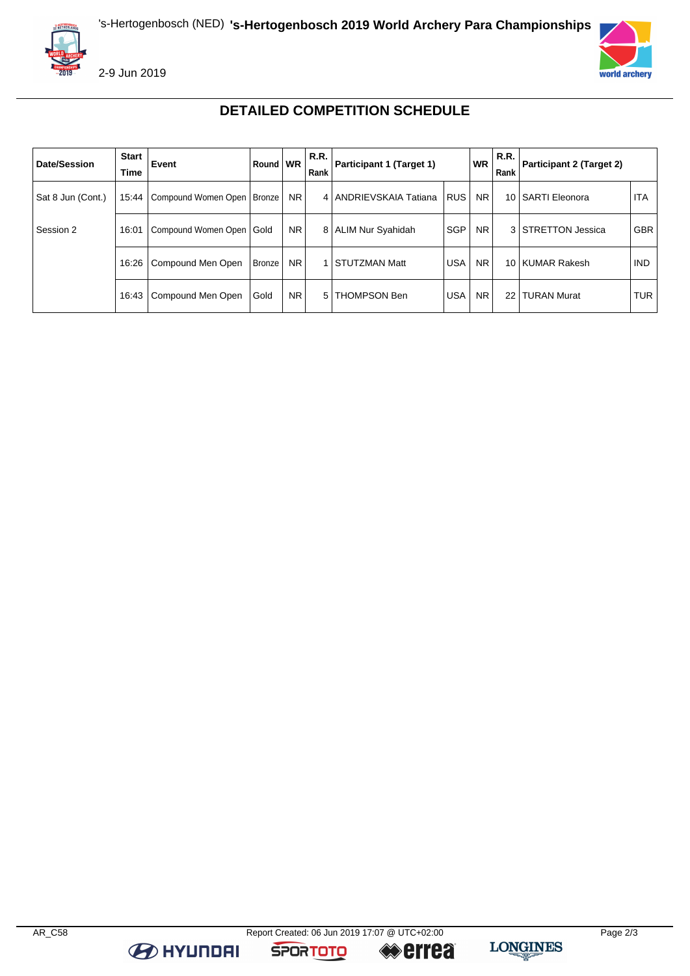



2-9 Jun 2019



## **DETAILED COMPETITION SCHEDULE**

| Date/Session      | <b>Start</b><br>Time | Event                                | Round   WR |     | R.R.<br>Rank   | Participant 1 (Target 1) |            | <b>WR</b>      | R.R.<br>Rank | <b>Participant 2 (Target 2)</b> |            |
|-------------------|----------------------|--------------------------------------|------------|-----|----------------|--------------------------|------------|----------------|--------------|---------------------------------|------------|
| Sat 8 Jun (Cont.) |                      | 15:44   Compound Women Open   Bronze |            | NR. |                | 4   ANDRIEVSKAIA Tatiana | <b>RUS</b> | <b>NR</b>      |              | 10 SARTI Eleonora               | <b>ITA</b> |
| Session 2         |                      | 16:01   Compound Women Open   Gold   |            | NR. |                | 8   ALIM Nur Syahidah    | <b>SGP</b> | NR.            |              | 3 STRETTON Jessica              | <b>GBR</b> |
|                   | 16:26                | Compound Men Open                    | Bronze     | NR. |                | <b>STUTZMAN Matt</b>     | USA        | N <sub>R</sub> |              | 10 KUMAR Rakesh                 | <b>IND</b> |
|                   |                      | 16:43   Compound Men Open            | Gold       | NR. | 5 <sub>1</sub> | <b>THOMPSON Ben</b>      | <b>USA</b> | <b>NR</b>      | 22           | <b>TURAN Murat</b>              | <b>TUR</b> |

**B** HYUNDAI

**SPORTOTO** 

**errea**